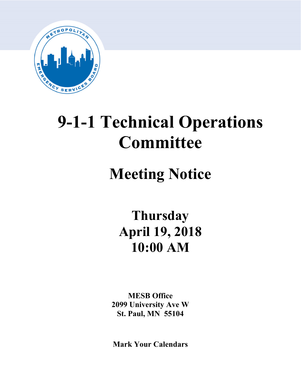

# **9-1-1 Technical Operations Committee**

## **Meeting Notice**

**Thursday April 19, 2018 10:00 AM**

**MESB Office 2099 University Ave W St. Paul, MN 55104**

**Mark Your Calendars**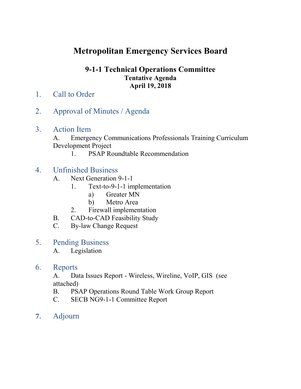#### **Metropolitan Emergency Services Board**

#### **9-1-1 Technical Operations Committee Tentative Agenda April 19, 2018**

- 1. Call to Order
- 2. Approval of Minutes / Agenda
- 3. Action Item

A. Emergency Communications Professionals Training Curriculum Development Project

1. PSAP Roundtable Recommendation

#### 4. Unfinished Business

- A. Next Generation 9-1-1
	- 1. Text-to-9-1-1 implementation
		- a) Greater MN
		- b) Metro Area
	- 2. Firewall implementation
- B. CAD-to-CAD Feasibility Study
- C. By-law Change Request

#### 5. Pending Business

A. Legislation

#### 6. Reports

A. Data Issues Report - Wireless, Wireline, VoIP, GIS (see attached)

- B. PSAP Operations Round Table Work Group Report
- C. SECB NG9-1-1 Committee Report
- **7.** Adjourn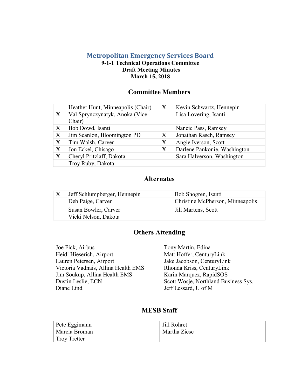#### **Metropolitan Emergency Services Board 9-1-1 Technical Operations Committee Draft Meeting Minutes**

**March 15, 2018**

#### **Committee Members**

|                  | Heather Hunt, Minneapolis (Chair)         | X | Kevin Schwartz, Hennepin     |
|------------------|-------------------------------------------|---|------------------------------|
| X                | Val Sprynczynatyk, Anoka (Vice-<br>Chair) |   | Lisa Lovering, Isanti        |
| X                | Bob Dowd, Isanti                          |   | Nancie Pass, Ramsey          |
| $\boldsymbol{X}$ | Jim Scanlon, Bloomington PD               | X | Jonathan Rasch, Ramsey       |
| X                | Tim Walsh, Carver                         | Χ | Angie Iverson, Scott         |
| X                | Jon Eckel, Chisago                        | X | Darlene Pankonie, Washington |
| X                | Cheryl Pritzlaff, Dakota                  |   | Sara Halverson, Washington   |
|                  | Troy Ruby, Dakota                         |   |                              |

#### **Alternates**

| Jeff Schlumpberger, Hennepin | Bob Shogren, Isanti              |
|------------------------------|----------------------------------|
| Deb Paige, Carver            | Christine McPherson, Minneapolis |
| Susan Bowler, Carver         | Jill Martens, Scott              |
| Vicki Nelson, Dakota         |                                  |

#### **Others Attending**

Joe Fick, Airbus Tony Martin, Edina Heidi Hieserich, Airport Matt Hoffer, CenturyLink Lauren Petersen, Airport Jake Jacobson, CenturyLink Victoria Vadnais, Allina Health EMS Rhonda Kriss, CenturyLink Jim Soukup, Allina Health EMS Karin Marquez, RapidSOS Diane Lind Jeff Lessard, U of M

Dustin Leslie, ECN Scott Wosje, Northland Business Sys.

#### **MESB Staff**

| Pete Eggimann | Jill Rohret  |
|---------------|--------------|
| Marcia Broman | Martha Ziese |
| Troy Tretter  |              |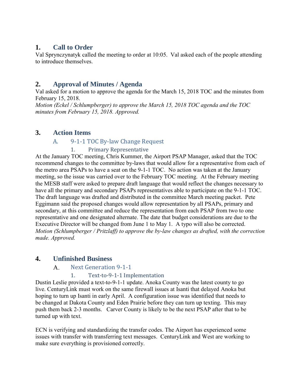#### **1. Call to Order**

Val Sprynczynatyk called the meeting to order at 10:05. Val asked each of the people attending to introduce themselves.

#### **2. Approval of Minutes / Agenda**

Val asked for a motion to approve the agenda for the March 15, 2018 TOC and the minutes from February 15, 2018.

*Motion (Eckel / Schlumpberger) to approve the March 15, 2018 TOC agenda and the TOC minutes from February 15, 2018. Approved.*

#### **3. Action Items**

#### A. 9-1-1 TOC By-law Change Request

#### 1. Primary Representative

At the January TOC meeting, Chris Kummer, the Airport PSAP Manager, asked that the TOC recommend changes to the committee by-laws that would allow for a representative from each of the metro area PSAPs to have a seat on the 9-1-1 TOC. No action was taken at the January meeting, so the issue was carried over to the February TOC meeting. At the February meeting the MESB staff were asked to prepare draft language that would reflect the changes necessary to have all the primary and secondary PSAPs representatives able to participate on the 9-1-1 TOC. The draft language was drafted and distributed in the committee March meeting packet. Pete Eggimann said the proposed changes would allow representation by all PSAPs, primary and secondary, at this committee and reduce the representation from each PSAP from two to one representative and one designated alternate. The date that budget considerations are due to the Executive Director will be changed from June 1 to May 1. A typo will also be corrected. *Motion (Schlumpberger / Pritzlaff) to approve the by-law changes as drafted, with the correction made. Approved.*

#### **4. Unfinished Business**

#### $A_{-}$ Next Generation 9-1-1

#### 1. Text-to-9-1-1 Implementation

Dustin Leslie provided a text-to-9-1-1 update. Anoka County was the latest county to go live. CenturyLink must work on the same firewall issues at Isanti that delayed Anoka but hoping to turn up Isanti in early April. A configuration issue was identified that needs to be changed at Dakota County and Eden Prairie before they can turn up texting. This may push them back 2-3 months. Carver County is likely to be the next PSAP after that to be turned up with text.

ECN is verifying and standardizing the transfer codes. The Airport has experienced some issues with transfer with transferring text messages. CenturyLink and West are working to make sure everything is provisioned correctly.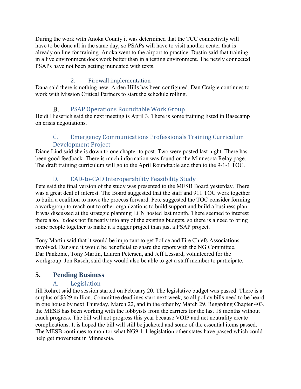During the work with Anoka County it was determined that the TCC connectivity will have to be done all in the same day, so PSAPs will have to visit another center that is already on line for training. Anoka went to the airport to practice. Dustin said that training in a live environment does work better than in a testing environment. The newly connected PSAPs have not been getting inundated with texts.

#### 2. Firewall implementation

Dana said there is nothing new. Arden Hills has been configured. Dan Craigie continues to work with Mission Critical Partners to start the schedule rolling.

#### **B.** PSAP Operations Roundtable Work Group

Heidi Hieserich said the next meeting is April 3. There is some training listed in Basecamp on crisis negotiations.

#### C. Emergency Communications Professionals Training Curriculum Development Project

Diane Lind said she is down to one chapter to post. Two were posted last night. There has been good feedback. There is much information was found on the Minnesota Relay page. The draft training curriculum will go to the April Roundtable and then to the 9-1-1 TOC.

#### D. CAD-to-CAD Interoperability Feasibility Study

Pete said the final version of the study was presented to the MESB Board yesterday. There was a great deal of interest. The Board suggested that the staff and 911 TOC work together to build a coalition to move the process forward. Pete suggested the TOC consider forming a workgroup to reach out to other organizations to build support and build a business plan. It was discussed at the strategic planning ECN hosted last month. There seemed to interest there also. It does not fit neatly into any of the existing budgets, so there is a need to bring some people together to make it a bigger project than just a PSAP project.

Tony Martin said that it would be important to get Police and Fire Chiefs Associations involved. Dar said it would be beneficial to share the report with the NG Committee. Dar Pankonie, Tony Martin, Lauren Petersen, and Jeff Lessard, volunteered for the workgroup. Jon Rasch, said they would also be able to get a staff member to participate.

#### **5. Pending Business**

#### A. Legislation

Jill Rohret said the session started on February 20. The legislative budget was passed. There is a surplus of \$329 million. Committee deadlines start next week, so all policy bills need to be heard in one house by next Thursday, March 22, and in the other by March 29. Regarding Chapter 403, the MESB has been working with the lobbyists from the carriers for the last 18 months without much progress. The bill will not progress this year because VOIP and net neutrality create complications. It is hoped the bill will still be jacketed and some of the essential items passed. The MESB continues to monitor what NG9-1-1 legislation other states have passed which could help get movement in Minnesota.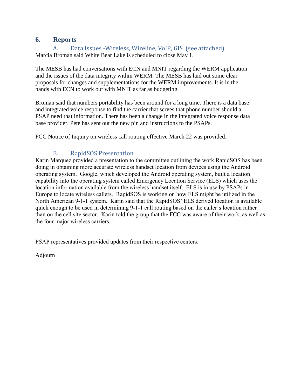#### **6. Reports**

#### A. Data Issues -Wireless, Wireline, VoIP, GIS (see attached) Marcia Broman said White Bear Lake is scheduled to close May 1.

The MESB has had conversations with ECN and MNIT regarding the WERM application and the issues of the data integrity within WERM. The MESB has laid out some clear proposals for changes and supplementations for the WERM improvements. It is in the hands with ECN to work out with MNIT as far as budgeting.

Broman said that numbers portability has been around for a long time. There is a data base and integrated voice response to find the carrier that serves that phone number should a PSAP need that information. There has been a change in the integrated voice response data base provider. Pete has sent out the new pin and instructions to the PSAPs.

FCC Notice of Inquiry on wireless call routing effective March 22 was provided.

#### B. RapidSOS Presentation

Karin Marquez provided a presentation to the committee outlining the work RapidSOS has been doing in obtaining more accurate wireless handset location from devices using the Android operating system. Google, which developed the Android operating system, built a location capability into the operating system called Emergency Location Service (ELS) which uses the location information available from the wireless handset itself. ELS is in use by PSAPs in Europe to locate wireless callers. RapidSOS is working on how ELS might be utilized in the North American 9-1-1 system. Karin said that the RapidSOS' ELS derived location is available quick enough to be used in determining 9-1-1 call routing based on the caller's location rather than on the cell site sector. Karin told the group that the FCC was aware of their work, as well as the four major wireless carriers.

PSAP representatives provided updates from their respective centers.

Adjourn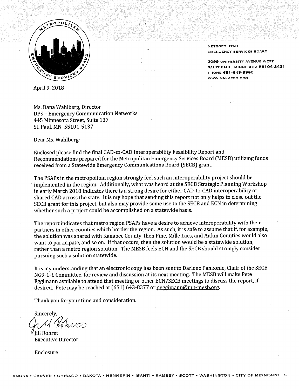

METROPOLITAN **EMERGENCY SERVICES BOARD** 

2099 UNIVERSITY AVENUE WEST SAINT PAUL, MINNESOTA 55104-3431 PHONE 651-643-8395 WWW.MN-MESB.ORG

April 9, 2018

Ms. Dana Wahlberg, Director **DPS - Emergency Communication Networks** 445 Minnesota Street, Suite 137 St. Paul. MN 55101-5137

Dear Ms. Wahlberg:

Enclosed please find the final CAD-to-CAD Interoperability Feasibility Report and Recommendations prepared for the Metropolitan Emergency Services Board (MESB) utilizing funds received from a Statewide Emergency Communications Board (SECB) grant.

The PSAPs in the metropolitan region strongly feel such an interoperability project should be implemented in the region. Additionally, what was heard at the SECB Strategic Planning Workshop in early March 2018 indicates there is a strong desire for either CAD-to-CAD interoperability or shared CAD across the state. It is my hope that sending this report not only helps to close out the SECB grant for this project, but also may provide some use to the SECB and ECN in determining whether such a project could be accomplished on a statewide basis.

The report indicates that metro region PSAPs have a desire to achieve interoperability with their partners in other counties which border the region. As such, it is safe to assume that if, for example, the solution was shared with Kanabec County, then Pine, Mille Lacs, and Aitkin Counties would also want to participate, and so on. If that occurs, then the solution would be a statewide solution, rather than a metro region solution. The MESB feels ECN and the SECB should strongly consider pursuing such a solution statewide.

It is my understanding that an electronic copy has been sent to Darlene Pankonie, Chair of the SECB NG9-1-1 Committee, for review and discussion at its next meeting. The MESB will make Pete Eggimann available to attend that meeting or other ECN/SECB meetings to discuss the report, if desired. Pete may be reached at (651) 643-8377 or peggimann@mn-mesb.org.

Thank you for your time and consideration.

Sincerely

**Iill Rohret Executive Director** 

Enclosure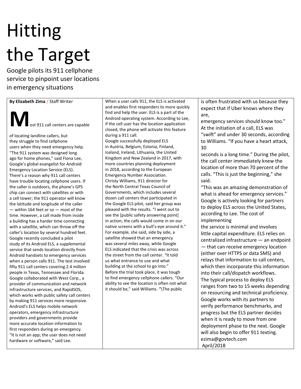# Hitting the Target

Google pilots its 911 cellphone service to pinpoint user locations in emergency situations

**By Elizabeth Zima** / Staff Writer

ost 911 call centers are capable

of locating landline callers, but they struggle to find cellphone users when they need emergency help. "The 911 system was designed long ago for home phones," said Fiona Lee, Google's global evangelist for Android Emergency Location Service (ELS). There's a reason why 911 call centers have trouble locating cellphone users. If the caller is outdoors, the phone's GPS chip can connect with satellites or with a cell tower; the 911 operator will know the latitude and longitude of the caller — within 164 feet or so — most of the time. However, a call made from inside a building has a harder time connecting with a satellite, which can throw off the caller's location by several hundred feet. Google recently concluded a pilot study of its Android ELS, a supplemental service that sends location directly from Android handsets to emergency services when a person calls 911. The test involved fifty 911 call centers covering 2.4 million people in Texas, Tennessee and Florida. Google collaborated with West Corp., a provider of communication and network infrastructure services, and RapidSOS, which works with public safety call centers by making 911 services more responsive. Android's ELS helps mobile network operators, emergency infrastructure providers and governments provide more accurate location information to first responders during an emergency. "It is not an app; the user does not need hardware or software," said Lee.

When a user calls 911, the ELS is activated and enables first responders to more quickly find and help the user. ELS is a part of the Android operating system. According to Lee, if the cell user has the location application closed, the phone will activate this feature during a 911 call.

Google successfully deployed ELS in Austria, Belgium, Estonia, Finland, Iceland, Ireland, Lithuania, the United Kingdom and New Zealand in 2017, with more countries planning deployment in 2018, according to the European Emergency Number Association. Christy Williams, 911 director for the North Central Texas Council of Governments, which includes several dozen call centers that participated in the Google ELS pilot, said her group was pleased with the results. "I went out to see the [public safety answering point] in action; the calls would come in on our native screens with a bull's-eye around it." For example, she said, side by side, a satellite showed that an emergency was several miles away, while Google ELS indicated that the crisis was across the street from the call center. "It told us what entrance to use and what building at the school to go into." Before the trial took place, it was tough to find emergency cellphone callers. "Our ability to see the location is often not what it should be," said Williams. "\The public

is often frustrated with us because they expect that if Uber knows where they are,

emergency services should know too." At the initiation of a call, ELS was "swift" and under 30 seconds, according to Williams. "If you have a heart attack, 30

seconds is a long time." During the pilot, the call center immediately knew the location of more than 70 percent of the calls. "This is just the beginning," she said.

"This was an amazing demonstration of what is ahead for emergency services." Google is actively looking for partners to deploy ELS across the United States, according to Lee. The cost of implementing

the service is minimal and involves little capital expenditure. ELS relies on centralized infrastructure — an endpoint — that can receive emergency location (either over HTTPS or data SMS) and relays that information to call centers, which then incorporate this information into their call/dispatch workflows. The typical process to deploy ELS ranges from two to 15 weeks depending on resourcing and technical proficiency. Google works with its partners to verify performance benchmarks, and progress but the ELS partner decides when it is ready to move from one deployment phase to the next. Google will also begin to offer 911 texting. ezima@govtech.com April/2018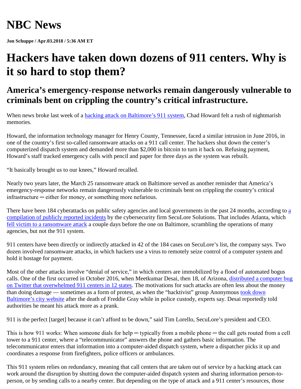## **NBC News**

**Jon Schuppe / Apr.03.2018 / 5:36 AM ET**

### **Hackers have taken down dozens of 911 centers. Why is it so hard to stop them?**

#### **America's emergency-response networks remain dangerously vulnerable to criminals bent on crippling the country's critical infrastructure.**

When news broke last week of a [hacking attack on Baltimore's 911 system,](https://www.nbcnews.com/news/us-news/baltimore-s-911-emergency-system-hit-cyberattack-n860876) Chad Howard felt a rush of nightmarish memories.

Howard, the information technology manager for Henry County, Tennessee, faced a similar intrusion in June 2016, in one of the country's first so-called ransomware attacks on a 911 call center. The hackers shut down the center's computerized dispatch system and demanded more than \$2,000 in bitcoin to turn it back on. Refusing payment, Howard's staff tracked emergency calls with pencil and paper for three days as the system was rebuilt.

"It basically brought us to our knees," Howard recalled.

Nearly two years later, the March 25 ransomware attack on Baltimore served as another reminder that America's emergency-response networks remain dangerously vulnerable to criminals bent on crippling the country's critical infrastructure ─ either for money, or something more nefarious.

There have been 184 cyberattacks on public safety agencies and local governments in the past 24 months, according to a [compilation of publicly reported incidents](https://www.seculore.com/cyber-attack-archive) by the cybersecurity firm SecuLore Solutions. That includes Atlanta, which [fell victim to a ransomware attack](https://www.nbcnews.com/tech/security/city-atlanta-computer-network-hit-ransomware-attack-n859426) a couple days before the one on Baltimore, scrambling the operations of many agencies, but not the 911 system.

911 centers have been directly or indirectly attacked in 42 of the 184 cases on SecuLore's list, the company says. Two dozen involved ransomware attacks, in which hackers use a virus to remotely seize control of a computer system and hold it hostage for payment.

Most of the other attacks involve "denial of service," in which centers are immobilized by a flood of automated bogus calls. One of the first occurred in October 2016, when Meetkumar Desai, then 18, of Arizona, [distributed a computer bug](https://www.wsj.com/articles/man-behind-911-call-system-2016-cyberattack-sentenced-to-probation-1507329999)  [on Twitter that overwhelmed 911 centers in 12 states.](https://www.wsj.com/articles/man-behind-911-call-system-2016-cyberattack-sentenced-to-probation-1507329999) The motivations for such attacks are often less about the money than doing damage — sometimes as a form of protest, as when the "hacktivist" group Anonymous [took down](http://www.baltimoresun.com/news/maryland/sun-investigates/bs-md-ci-cyber-riot-20150731-story.html)  Baltimore's [city website](http://www.baltimoresun.com/news/maryland/sun-investigates/bs-md-ci-cyber-riot-20150731-story.html) after the death of Freddie Gray while in police custody, experts say. Desai reportedly told authorities he meant his attack more as a prank.

911 is the perfect [target] because it can't afford to be down," said Tim Lorello, SecuLore's president and CEO.

This is how 911 works: When someone dials for help — typically from a mobile phone — the call gets routed from a cell tower to a 911 center, where a "telecommunicator" answers the phone and gathers basic information. The telecommunicator enters that information into a computer-aided dispatch system, where a dispatcher picks it up and coordinates a response from firefighters, police officers or ambulances.

This 911 system relies on redundancy, meaning that call centers that are taken out of service by a hacking attack can work around the disruption by shutting down the computer-aided dispatch system and sharing information person-toperson, or by sending calls to a nearby center. But depending on the type of attack and a 911 center's resources, those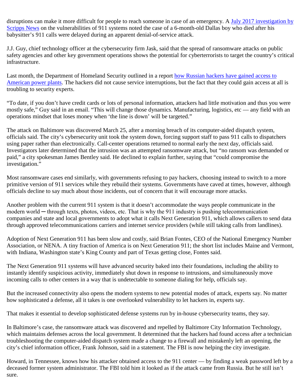disruptions can make it more difficult for people to reach someone in case of an emergency. A July 2017 investigation by [Scripps News](http://www.scripps.com/911-state-of-emergency) on the vulnerabilities of 911 systems noted the case of a 6-month-old Dallas boy who died after his babysitter's 911 calls were delayed during an apparent denial-of-service attack.

J.J. Guy, chief technology officer at the cybersecurity firm Jask, said that the spread of ransomware attacks on public safety agencies and other key government operations shows the potential for cyberterrorists to target the country's critical infrastructure.

Last month, the Department of Homeland Security outlined in a report [how Russian hackers have gained access to](https://www.us-cert.gov/ncas/alerts/TA18-074A)  [American power plants.](https://www.us-cert.gov/ncas/alerts/TA18-074A) The hackers did not cause service interruptions, but the fact that they could gain access at all is troubling to security experts.

"To date, if you don't have credit cards or lots of personal information, attackers had little motivation and thus you were mostly safe," Guy said in an email. "This will change those dynamics. Manufacturing, logistics, etc — any field with an operations mindset that loses money when 'the line is down' will be targeted."

The attack on Baltimore was discovered March 25, after a morning breach of its computer-aided dispatch system, officials said. The city's cybersecurity unit took the system down, forcing support staff to pass 911 calls to dispatchers using paper rather than electronically. Call-center operations returned to normal early the next day, officials said. Investigators later determined that the intrusion was an attempted ransomware attack, but "no ransom was demanded or paid," a city spokesman James Bentley said. He declined to explain further, saying that "could compromise the investigation."

Most ransomware cases end similarly, with governments refusing to pay hackers, choosing instead to switch to a more primitive version of 911 services while they rebuild their systems. Governments have caved at times, however, although officials decline to say much about those incidents, out of concern that it will encourage more attacks.

Another problem with the current 911 system is that it doesn't accommodate the ways people communicate in the modern world — through texts, photos, videos, etc. That is why the 911 industry is pushing telecommunication companies and state and local governments to adopt what it calls Next Generation 911, which allows callers to send data through approved telecommunications carriers and internet service providers (while still taking calls from landlines).

Adoption of Next Generation 911 has been slow and costly, said Brian Fontes, CEO of the National Emergency Number Association, or NENA. A tiny fraction of America is on Next Generation 911; the short list includes Maine and Vermont, with Indiana, Washington state's King County and part of Texas getting close, Fontes said.

The Next Generation 911 systems will have advanced security baked into their foundations, including the ability to instantly identify suspicious activity, immediately shut down in response to intrusions, and simultaneously move incoming calls to other centers in a way that is undetectable to someone dialing for help, officials say.

But the increased connectivity also opens the modern systems to new potential modes of attack, experts say. No matter how sophisticated a defense, all it takes is one overlooked vulnerability to let hackers in, experts say.

That makes it essential to develop sophisticated defense systems run by in-house cybersecurity teams, they say.

In Baltimore's case, the ransomware attack was discovered and repelled by Baltimore City Information Technology, which maintains defenses across the local government. It determined that the hackers had found access after a technician troubleshooting the computer-aided dispatch system made a change to a firewall and mistakenly left an opening, the city's chief information officer, Frank Johnson, said in a statement. The FBI is now helping the city investigate.

Howard, in Tennessee, knows how his attacker obtained access to the 911 center — by finding a weak password left by a deceased former system administrator. The FBI told him it looked as if the attack came from Russia. But he still isn't sure.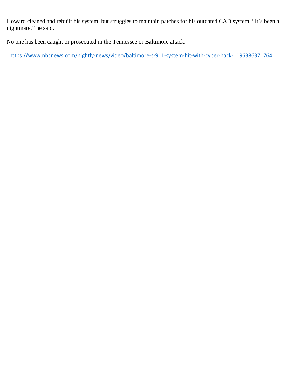Howard cleaned and rebuilt his system, but struggles to maintain patches for his outdated CAD system. "It's been a nightmare," he said.

No one has been caught or prosecuted in the Tennessee or Baltimore attack.

<https://www.nbcnews.com/nightly-news/video/baltimore-s-911-system-hit-with-cyber-hack-1196386371764>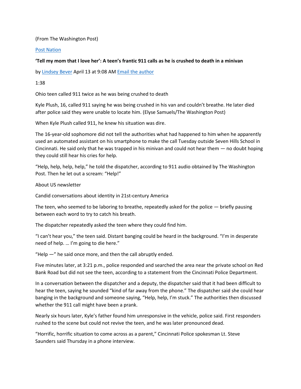(From The Washington Post)

[Post Nation](http://www.washingtonpost.com/news/post-nation)

#### **'Tell my mom that I love her': A teen's frantic 911 calls as he is crushed to death in a minivan**

by [Lindsey Bever](https://www.washingtonpost.com/people/lindsey-bever/) April 13 at 9:08 A[M Email the author](mailto:lindsey.bever@washpost.com?subject=Reader%20feedback%20for%20)

1:38

Ohio teen called 911 twice as he was being crushed to death

Kyle Plush, 16, called 911 saying he was being crushed in his van and couldn't breathe. He later died after police said they were unable to locate him. (Elyse Samuels/The Washington Post)

When Kyle Plush called 911, he knew his situation was dire.

The 16-year-old sophomore did not tell the authorities what had happened to him when he apparently used an automated assistant on his smartphone to make the call Tuesday outside Seven Hills School in Cincinnati. He said only that he was trapped in his minivan and could not hear them  $-$  no doubt hoping they could still hear his cries for help.

"Help, help, help, help," he told the dispatcher, according to 911 audio obtained by The Washington Post. Then he let out a scream: "Help!"

About US newsletter

Candid conversations about identity in 21st-century America

The teen, who seemed to be laboring to breathe, repeatedly asked for the police — briefly pausing between each word to try to catch his breath.

The dispatcher repeatedly asked the teen where they could find him.

"I can't hear you," the teen said. Distant banging could be heard in the background. "I'm in desperate need of help. … I'm going to die here."

"Help —" he said once more, and then the call abruptly ended.

Five minutes later, at 3:21 p.m., police responded and searched the area near the private school on Red Bank Road but did not see the teen, according to a statement from the Cincinnati Police Department.

In a conversation between the dispatcher and a deputy, the dispatcher said that it had been difficult to hear the teen, saying he sounded "kind of far away from the phone." The dispatcher said she could hear banging in the background and someone saying, "Help, help, I'm stuck." The authorities then discussed whether the 911 call might have been a prank.

Nearly six hours later, Kyle's father found him unresponsive in the vehicle, police said. First responders rushed to the scene but could not revive the teen, and he was later pronounced dead.

"Horrific, horrific situation to come across as a parent," Cincinnati Police spokesman Lt. Steve Saunders said Thursday in a phone interview.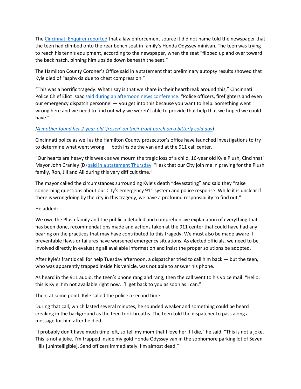The [Cincinnati Enquirer reported](https://www.cincinnati.com/story/news/2018/04/12/seven-hills-student-kyle-plush-pinned-under-rear-minivan-seat/510292002/) that a law enforcement source it did not name told the newspaper that the teen had climbed onto the rear bench seat in family's Honda Odyssey minivan. The teen was trying to reach his tennis equipment, according to the newspaper, when the seat "flipped up and over toward the back hatch, pinning him upside down beneath the seat."

The Hamilton County Coroner's Office said in a statement that preliminary autopsy results showed that Kyle died of "asphyxia due to chest compression."

"This was a horrific tragedy. What I say is that we share in their heartbreak around this," Cincinnati Police Chief Eliot Isaac [said during an afternoon news conference.](https://www.facebook.com/Enquirer/videos/10157499995914698/) "Police officers, firefighters and even our emergency dispatch personnel — you get into this because you want to help. Something went wrong here and we need to find out why we weren't able to provide that help that we hoped we could have."

#### *[\[A mother found her 2-year-old 'frozen' on their front porch on a bitterly cold day\]](https://www.washingtonpost.com/news/post-nation/wp/2018/02/05/a-mother-found-her-2-year-old-frozen-on-their-front-porch-on-a-bitterly-cold-day/?utm_term=.c618ee57501a)*

Cincinnati police as well as the Hamilton County prosecutor's office have launched investigations to try to determine what went wrong — both inside the van and at the 911 call center.

"Our hearts are heavy this week as we mourn the tragic loss of a child, 16-year old Kyle Plush, Cincinnati Mayor John Cranley (D) [said in a statement Thursday.](https://twitter.com/JohnCranley/status/984530305615790080) "I ask that our City join me in praying for the Plush family, Ron, Jill and Ali during this very difficult time."

The mayor called the circumstances surrounding Kyle's death "devastating" and said they "raise concerning questions about our City's emergency 911 system and police response. While it is unclear if there is wrongdoing by the city in this tragedy, we have a profound responsibility to find out."

#### He added:

We owe the Plush family and the public a detailed and comprehensive explanation of everything that has been done, recommendations made and actions taken at the 911 center that could have had any bearing on the practices that may have contributed to this tragedy. We must also be made aware if preventable flaws or failures have worsened emergency situations. As elected officials, we need to be involved directly in evaluating all available information and insist the proper solutions be adopted.

After Kyle's frantic call for help Tuesday afternoon, a dispatcher tried to call him back — but the teen, who was apparently trapped inside his vehicle, was not able to answer his phone.

As heard in the 911 audio, the teen's phone rang and rang, then the call went to his voice mail: "Hello, this is Kyle. I'm not available right now. I'll get back to you as soon as I can."

Then, at some point, Kyle called the police a second time.

During that call, which lasted several minutes, he sounded weaker and something could be heard creaking in the background as the teen took breaths. The teen told the dispatcher to pass along a message for him after he died.

"I probably don't have much time left, so tell my mom that I love her if I die," he said. "This is not a joke. This is not a joke. I'm trapped inside my gold Honda Odyssey van in the sophomore parking lot of Seven Hills [unintelligible]. Send officers immediately. I'm almost dead."